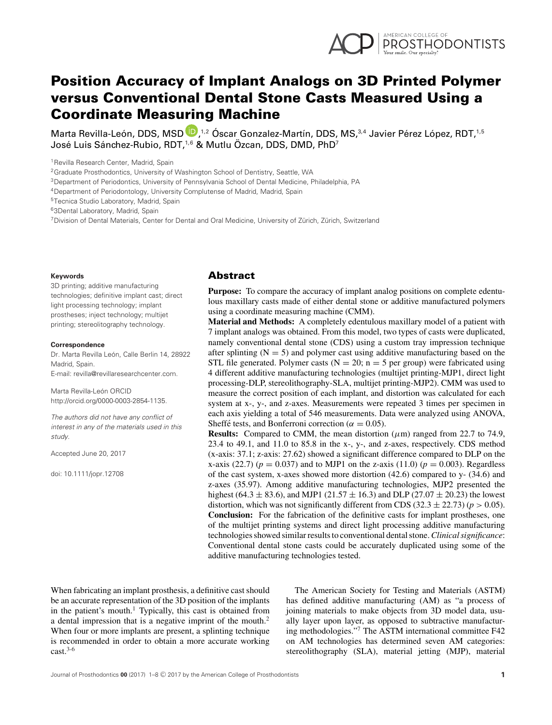

# Position Accuracy of Implant Analogs on 3D Printed Polymer versus Conventional Dental Stone Casts Measured Using a Coordinate Measuring Machine

Marta Revilla-León[,](http://orcid.org/0000-0003-2854-1135) DDS, MSD  $\blacksquare$ , $^{1,2}$  Óscar Gonzalez-Martín, DDS, MS, $^{3,4}$  Javier Pérez López, RDT, $^{1,5}$ José Luis Sánchez-Rubio, RDT,<sup>1,6</sup> & Mutlu Özcan, DDS, DMD, PhD<sup>7</sup>

<sup>1</sup> Revilla Research Center, Madrid, Spain

2Graduate Prosthodontics, University of Washington School of Dentistry, Seattle, WA

3Department of Periodontics, University of Pennsylvania School of Dental Medicine, Philadelphia, PA

4Department of Periodontology, University Complutense of Madrid, Madrid, Spain

5Tecnica Studio Laboratory, Madrid, Spain

63Dental Laboratory, Madrid, Spain

<sup>7</sup> Division of Dental Materials, Center for Dental and Oral Medicine, University of Zürich, Zürich, Switzerland

#### **Keywords**

3D printing; additive manufacturing technologies; definitive implant cast; direct light processing technology; implant prostheses; inject technology; multijet printing; stereolitography technology.

#### **Correspondence**

Dr. Marta Revilla León, Calle Berlin 14, 28922 Madrid, Spain. E-mail: revilla@revillaresearchcenter.com.

Marta Revilla-León ORCID http://orcid.org/0000-0003-2854-1135.

*The authors did not have any conflict of interest in any of the materials used in this study.*

Accepted June 20, 2017

doi: 10.1111/jopr.12708

### Abstract

**Purpose:** To compare the accuracy of implant analog positions on complete edentulous maxillary casts made of either dental stone or additive manufactured polymers using a coordinate measuring machine (CMM).

**Material and Methods:** A completely edentulous maxillary model of a patient with 7 implant analogs was obtained. From this model, two types of casts were duplicated, namely conventional dental stone (CDS) using a custom tray impression technique after splinting  $(N = 5)$  and polymer cast using additive manufacturing based on the STL file generated. Polymer casts ( $N = 20$ ; n = 5 per group) were fabricated using 4 different additive manufacturing technologies (multijet printing-MJP1, direct light processing-DLP, stereolithography-SLA, multijet printing-MJP2). CMM was used to measure the correct position of each implant, and distortion was calculated for each system at x-, y-, and z-axes. Measurements were repeated 3 times per specimen in each axis yielding a total of 546 measurements. Data were analyzed using ANOVA, Sheffé tests, and Bonferroni correction ( $\alpha = 0.05$ ).

**Results:** Compared to CMM, the mean distortion  $(\mu m)$  ranged from 22.7 to 74.9, 23.4 to 49.1, and 11.0 to 85.8 in the x-, y-, and z-axes, respectively. CDS method (x-axis: 37.1; z-axis: 27.62) showed a significant difference compared to DLP on the x-axis (22.7) ( $p = 0.037$ ) and to MJP1 on the z-axis (11.0) ( $p = 0.003$ ). Regardless of the cast system, x-axes showed more distortion (42.6) compared to y- (34.6) and z-axes (35.97). Among additive manufacturing technologies, MJP2 presented the highest (64.3  $\pm$  83.6), and MJP1 (21.57  $\pm$  16.3) and DLP (27.07  $\pm$  20.23) the lowest distortion, which was not significantly different from CDS (32.3  $\pm$  22.73) ( $p > 0.05$ ). **Conclusion:** For the fabrication of the definitive casts for implant prostheses, one of the multijet printing systems and direct light processing additive manufacturing technologies showed similar results to conventional dental stone.*Clinical significance*: Conventional dental stone casts could be accurately duplicated using some of the additive manufacturing technologies tested.

When fabricating an implant prosthesis, a definitive cast should be an accurate representation of the 3D position of the implants in the patient's mouth.<sup>1</sup> Typically, this cast is obtained from a dental impression that is a negative imprint of the mouth.<sup>2</sup> When four or more implants are present, a splinting technique is recommended in order to obtain a more accurate working  $cast.<sup>3-6</sup>$ 

The American Society for Testing and Materials (ASTM) has defined additive manufacturing (AM) as "a process of joining materials to make objects from 3D model data, usually layer upon layer, as opposed to subtractive manufacturing methodologies."<sup>7</sup> The ASTM international committee F42 on AM technologies has determined seven AM categories: stereolithography (SLA), material jetting (MJP), material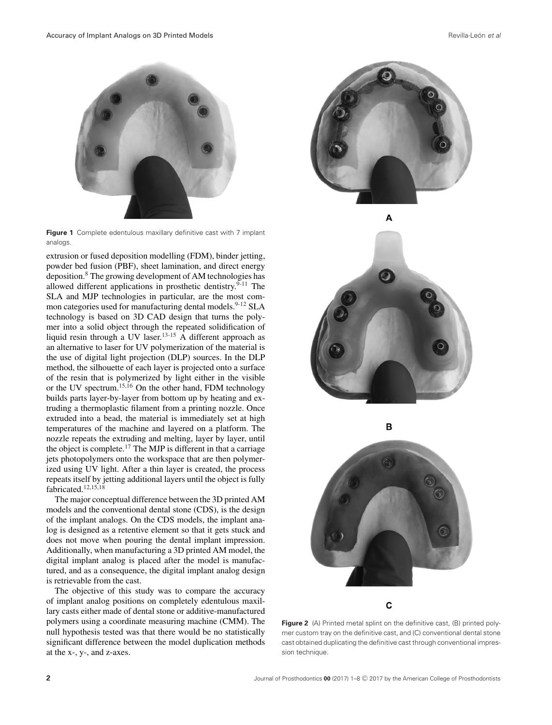

**Figure 1** Complete edentulous maxillary definitive cast with 7 implant analogs.

extrusion or fused deposition modelling (FDM), binder jetting, powder bed fusion (PBF), sheet lamination, and direct energy deposition.<sup>8</sup> The growing development of AM technologies has allowed different applications in prosthetic dentistry. $9-11$  The SLA and MJP technologies in particular, are the most common categories used for manufacturing dental models.<sup>9-12</sup> SLA technology is based on 3D CAD design that turns the polymer into a solid object through the repeated solidification of liquid resin through a UV laser.<sup>13-15</sup> A different approach as an alternative to laser for UV polymerization of the material is the use of digital light projection (DLP) sources. In the DLP method, the silhouette of each layer is projected onto a surface of the resin that is polymerized by light either in the visible or the UV spectrum.15,16 On the other hand, FDM technology builds parts layer-by-layer from bottom up by heating and extruding a thermoplastic filament from a printing nozzle. Once extruded into a bead, the material is immediately set at high temperatures of the machine and layered on a platform. The nozzle repeats the extruding and melting, layer by layer, until the object is complete.17 The MJP is different in that a carriage jets photopolymers onto the workspace that are then polymerized using UV light. After a thin layer is created, the process repeats itself by jetting additional layers until the object is fully fabricated. $12,15,18$ 

The major conceptual difference between the 3D printed AM models and the conventional dental stone (CDS), is the design of the implant analogs. On the CDS models, the implant analog is designed as a retentive element so that it gets stuck and does not move when pouring the dental implant impression. Additionally, when manufacturing a 3D printed AM model, the digital implant analog is placed after the model is manufactured, and as a consequence, the digital implant analog design is retrievable from the cast.

The objective of this study was to compare the accuracy of implant analog positions on completely edentulous maxillary casts either made of dental stone or additive-manufactured polymers using a coordinate measuring machine (CMM). The null hypothesis tested was that there would be no statistically significant difference between the model duplication methods at the x-, y-, and z-axes.





B



**Figure 2** (A) Printed metal splint on the definitive cast, (B) printed polymer custom tray on the definitive cast, and (C) conventional dental stone cast obtained duplicating the definitive cast through conventional impression technique.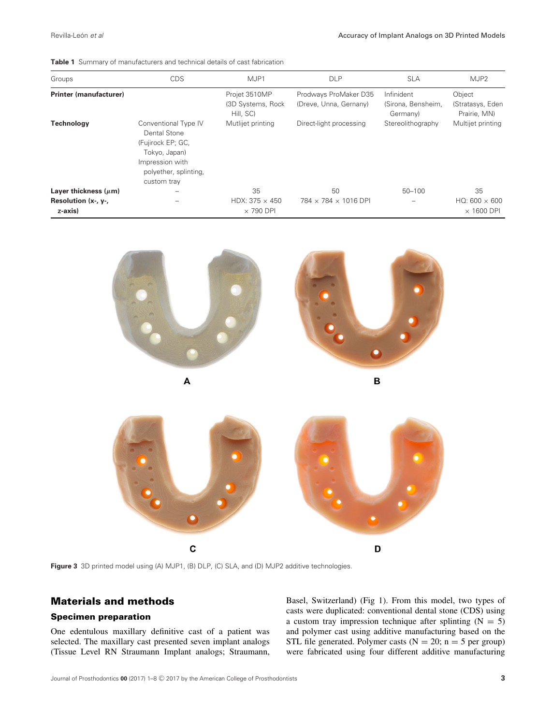| Groups                                                      | <b>CDS</b>                                                                                                                            | MJP1                                             | <b>DLP</b>                                      | <b>SLA</b>                                   | MJP2                                            |
|-------------------------------------------------------------|---------------------------------------------------------------------------------------------------------------------------------------|--------------------------------------------------|-------------------------------------------------|----------------------------------------------|-------------------------------------------------|
| Printer (manufacturer)                                      |                                                                                                                                       | Projet 3510MP<br>(3D Systems, Rock)<br>Hill, SC) | Prodways ProMaker D35<br>(Dreve, Unna, Gernany) | Infinident<br>(Sirona, Bensheim,<br>Germany) | Object<br>(Stratasys, Eden<br>Prairie, MN)      |
| <b>Technology</b>                                           | Conventional Type IV<br>Dental Stone<br>(Fujirock EP; GC,<br>Tokyo, Japan)<br>Impression with<br>polyether, splinting,<br>custom tray | Mutlijet printing                                | Direct-light processing                         | Stereolithography                            | Multijet printing                               |
| Layer thickness $(\mu m)$<br>Resolution (x-, y-,<br>z-axis) |                                                                                                                                       | 35<br>HDX: 375 $\times$ 450<br>$\times$ 790 DPI  | 50<br>784 × 784 × 1016 DPI                      | $50 - 100$                                   | 35<br>$HO: 600 \times 600$<br>$\times$ 1600 DPI |



C

Figure 3 3D printed model using (A) MJP1, (B) DLP, (C) SLA, and (D) MJP2 additive technologies.

# Materials and methods

### Specimen preparation

One edentulous maxillary definitive cast of a patient was selected. The maxillary cast presented seven implant analogs (Tissue Level RN Straumann Implant analogs; Straumann, Basel, Switzerland) (Fig 1). From this model, two types of casts were duplicated: conventional dental stone (CDS) using a custom tray impression technique after splinting  $(N = 5)$ and polymer cast using additive manufacturing based on the STL file generated. Polymer casts ( $N = 20$ ;  $n = 5$  per group) were fabricated using four different additive manufacturing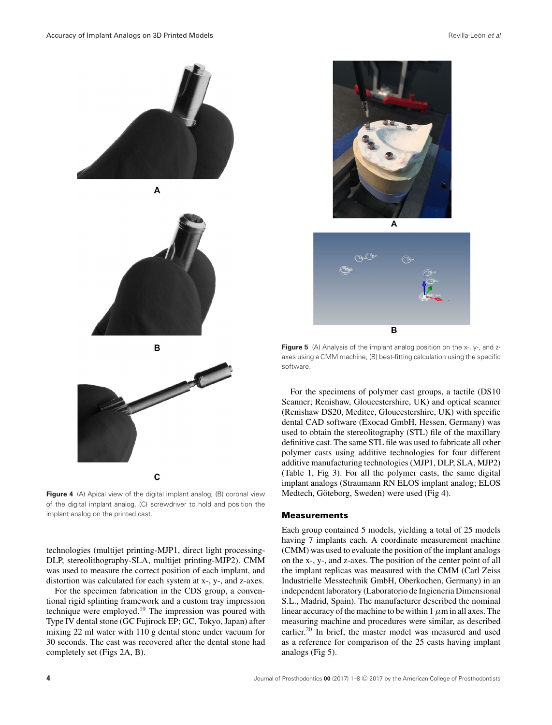

**Figure 4** (A) Apical view of the digital implant analog, (B) coronal view of the digital implant analog, (C) screwdriver to hold and position the implant analog on the printed cast.

technologies (multijet printing-MJP1, direct light processing-DLP, stereolithography-SLA, multijet printing-MJP2). CMM was used to measure the correct position of each implant, and distortion was calculated for each system at x-, y-, and z-axes.

For the specimen fabrication in the CDS group, a conventional rigid splinting framework and a custom tray impression technique were employed.<sup>19</sup> The impression was poured with Type IV dental stone (GC Fujirock EP; GC, Tokyo, Japan) after mixing 22 ml water with 110 g dental stone under vacuum for 30 seconds. The cast was recovered after the dental stone had completely set (Figs 2A, B).





**Figure 5** (A) Analysis of the implant analog position on the x-, y-, and zaxes using a CMM machine, (B) best-fitting calculation using the specific software.

For the specimens of polymer cast groups, a tactile (DS10 Scanner; Renishaw, Gloucestershire, UK) and optical scanner (Renishaw DS20, Meditec, Gloucestershire, UK) with specific dental CAD software (Exocad GmbH, Hessen, Germany) was used to obtain the stereolitography (STL) file of the maxillary definitive cast. The same STL file was used to fabricate all other polymer casts using additive technologies for four different additive manufacturing technologies (MJP1, DLP, SLA, MJP2) (Table 1, Fig 3). For all the polymer casts, the same digital implant analogs (Straumann RN ELOS implant analog; ELOS Medtech, Göteborg, Sweden) were used (Fig 4).

### **Measurements**

Each group contained 5 models, yielding a total of 25 models having 7 implants each. A coordinate measurement machine (CMM) was used to evaluate the position of the implant analogs on the x-, y-, and z-axes. The position of the center point of all the implant replicas was measured with the CMM (Carl Zeiss Industrielle Messtechnik GmbH, Oberkochen, Germany) in an independent laboratory (Laboratorio de Ingieneria Dimensional S.L., Madrid, Spain). The manufacturer described the nominal linear accuracy of the machine to be within 1  $\mu$ m in all axes. The measuring machine and procedures were similar, as described earlier.20 In brief, the master model was measured and used as a reference for comparison of the 25 casts having implant analogs (Fig 5).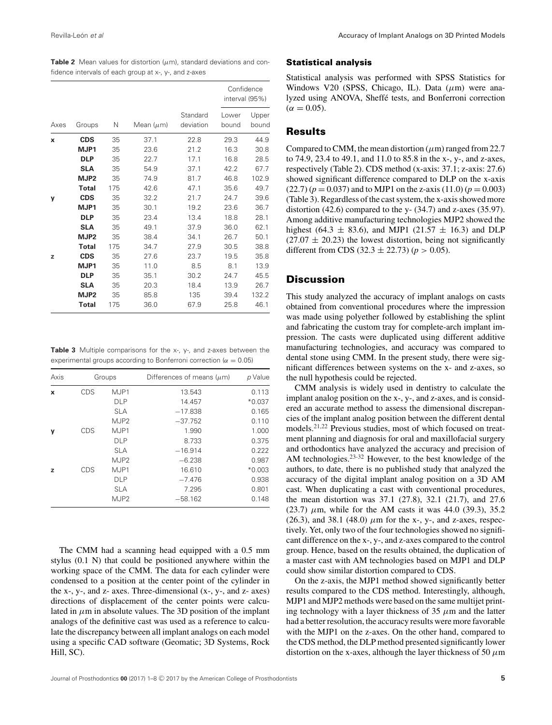**Table 2** Mean values for distortion  $(\mu m)$ , standard deviations and confidence intervals of each group at x-, y-, and z-axes

|      |                  |     | Mean $(\mu m)$ | Standard<br>deviation | Confidence<br>interval (95%) |                |
|------|------------------|-----|----------------|-----------------------|------------------------------|----------------|
| Axes | Groups           | N   |                |                       | Lower<br>bound               | Upper<br>bound |
| X    | <b>CDS</b>       | 35  | 37.1           | 22.8                  | 29.3                         | 44.9           |
|      | MJP1             | 35  | 23.6           | 21.2                  | 16.3                         | 30.8           |
|      | <b>DLP</b>       | 35  | 22.7           | 17.1                  | 16.8                         | 28.5           |
|      | <b>SLA</b>       | 35  | 54.9           | 37.1                  | 42.2                         | 67.7           |
|      | MJP <sub>2</sub> | 35  | 74.9           | 81.7                  | 46.8                         | 102.9          |
|      | <b>Total</b>     | 175 | 42.6           | 47.1                  | 35.6                         | 49.7           |
| y    | <b>CDS</b>       | 35  | 32.2           | 21.7                  | 24.7                         | 39.6           |
|      | MJP1             | 35  | 30.1           | 19.2                  | 23.6                         | 36.7           |
|      | <b>DLP</b>       | 35  | 23.4           | 13.4                  | 18.8                         | 28.1           |
|      | <b>SLA</b>       | 35  | 49.1           | 37.9                  | 36.0                         | 62.1           |
|      | MJP <sub>2</sub> | 35  | 38.4           | 34.1                  | 26.7                         | 50.1           |
|      | <b>Total</b>     | 175 | 34.7           | 27.9                  | 30.5                         | 38.8           |
| z    | <b>CDS</b>       | 35  | 27.6           | 23.7                  | 19.5                         | 35.8           |
|      | MJP1             | 35  | 11.0           | 8.5                   | 8.1                          | 13.9           |
|      | <b>DLP</b>       | 35  | 35.1           | 30.2                  | 24.7                         | 45.5           |
|      | <b>SLA</b>       | 35  | 20.3           | 18.4                  | 13.9                         | 26.7           |
|      | MJP <sub>2</sub> | 35  | 85.8           | 135                   | 39.4                         | 132.2          |
|      | <b>Total</b>     | 175 | 36.0           | 67.9                  | 25.8                         | 46.1           |

**Table 3** Multiple comparisons for the x-, y-, and z-axes between the experimental groups according to Bonferroni correction ( $\alpha = 0.05$ )

| Axis | Groups     |                  | Differences of means $(\mu m)$ | p Value  |  |
|------|------------|------------------|--------------------------------|----------|--|
| x    | CDS        | MJP1             | 13.543                         | 0.113    |  |
|      |            | <b>DLP</b>       | 14.457                         | $*0.037$ |  |
|      |            | <b>SLA</b>       | $-17.838$                      | 0.165    |  |
|      |            | MJP <sub>2</sub> | $-37.752$                      | 0.110    |  |
| y    | <b>CDS</b> | MJP1             | 1.990                          | 1.000    |  |
|      |            | <b>DLP</b>       | 8.733                          | 0.375    |  |
|      |            | <b>SLA</b>       | $-16.914$                      | 0.222    |  |
|      |            | MJP <sub>2</sub> | $-6.238$                       | 0.987    |  |
| z    | <b>CDS</b> | MJP1             | 16.610                         | $*0.003$ |  |
|      |            | <b>DLP</b>       | $-7.476$                       | 0.938    |  |
|      |            | <b>SLA</b>       | 7.295                          | 0.801    |  |
|      |            | MJP <sub>2</sub> | $-58.162$                      | 0.148    |  |

The CMM had a scanning head equipped with a 0.5 mm stylus (0.1 N) that could be positioned anywhere within the working space of the CMM. The data for each cylinder were condensed to a position at the center point of the cylinder in the x-, y-, and z- axes. Three-dimensional (x-, y-, and z- axes) directions of displacement of the center points were calculated in  $\mu$ m in absolute values. The 3D position of the implant analogs of the definitive cast was used as a reference to calculate the discrepancy between all implant analogs on each model using a specific CAD software (Geomatic; 3D Systems, Rock Hill, SC).

#### Statistical analysis

Statistical analysis was performed with SPSS Statistics for Windows V20 (SPSS, Chicago, IL). Data (*µ*m) were analyzed using ANOVA, Sheffé tests, and Bonferroni correction  $(\alpha = 0.05)$ .

### Results

Compared to CMM, the mean distortion  $(\mu m)$  ranged from 22.7 to 74.9, 23.4 to 49.1, and 11.0 to 85.8 in the x-, y-, and z-axes, respectively (Table 2). CDS method (x-axis: 37.1; z-axis: 27.6) showed significant difference compared to DLP on the x-axis  $(22.7) (p = 0.037)$  and to MJP1 on the z-axis  $(11.0) (p = 0.003)$ (Table 3). Regardless of the cast system, the x-axis showed more distortion  $(42.6)$  compared to the y- $(34.7)$  and z-axes  $(35.97)$ . Among additive manufacturing technologies MJP2 showed the highest (64.3  $\pm$  83.6), and MJP1 (21.57  $\pm$  16.3) and DLP  $(27.07 \pm 20.23)$  the lowest distortion, being not significantly different from CDS (32.3  $\pm$  22.73) ( $p > 0.05$ ).

# **Discussion**

This study analyzed the accuracy of implant analogs on casts obtained from conventional procedures where the impression was made using polyether followed by establishing the splint and fabricating the custom tray for complete-arch implant impression. The casts were duplicated using different additive manufacturing technologies, and accuracy was compared to dental stone using CMM. In the present study, there were significant differences between systems on the x- and z-axes, so the null hypothesis could be rejected.

CMM analysis is widely used in dentistry to calculate the implant analog position on the x-, y-, and z-axes, and is considered an accurate method to assess the dimensional discrepancies of the implant analog position between the different dental models.<sup>21,22</sup> Previous studies, most of which focused on treatment planning and diagnosis for oral and maxillofacial surgery and orthodontics have analyzed the accuracy and precision of AM technologies.<sup>23-32</sup> However, to the best knowledge of the authors, to date, there is no published study that analyzed the accuracy of the digital implant analog position on a 3D AM cast. When duplicating a cast with conventional procedures, the mean distortion was 37.1 (27.8), 32.1 (21.7), and 27.6 (23.7)  $\mu$ m, while for the AM casts it was 44.0 (39.3), 35.2 (26.3), and 38.1 (48.0)  $\mu$ m for the x-, y-, and z-axes, respectively. Yet, only two of the four technologies showed no significant difference on the x-, y-, and z-axes compared to the control group. Hence, based on the results obtained, the duplication of a master cast with AM technologies based on MJP1 and DLP could show similar distortion compared to CDS.

On the z-axis, the MJP1 method showed significantly better results compared to the CDS method. Interestingly, although, MJP1 and MJP2 methods were based on the same multijet printing technology with a layer thickness of 35  $\mu$ m and the latter had a better resolution, the accuracy results were more favorable with the MJP1 on the z-axes. On the other hand, compared to the CDS method, the DLP method presented significantly lower distortion on the x-axes, although the layer thickness of 50  $\mu$ m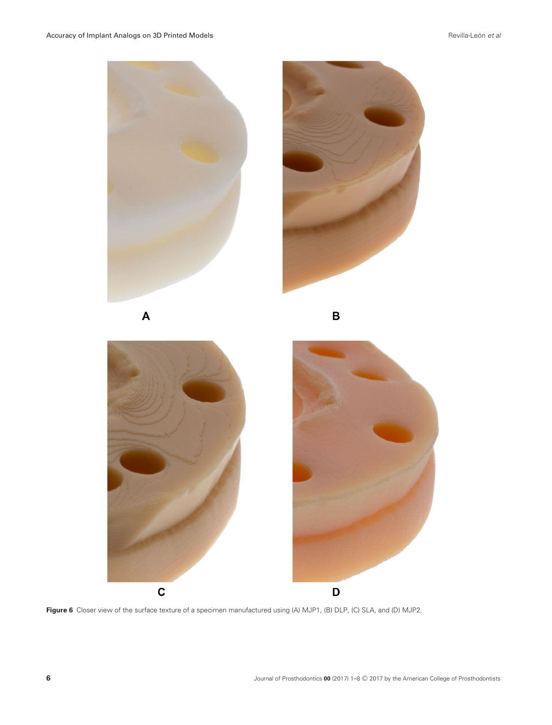





**Figure 6** Closer view of the surface texture of a specimen manufactured using (A) MJP1, (B) DLP, (C) SLA, and (D) MJP2.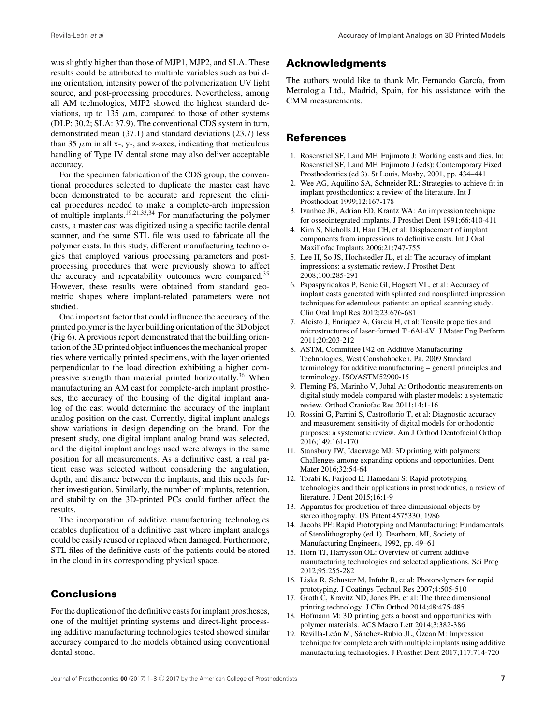was slightly higher than those of MJP1, MJP2, and SLA. These results could be attributed to multiple variables such as building orientation, intensity power of the polymerization UV light source, and post-processing procedures. Nevertheless, among all AM technologies, MJP2 showed the highest standard deviations, up to  $135 \mu m$ , compared to those of other systems (DLP: 30.2; SLA: 37.9). The conventional CDS system in turn, demonstrated mean (37.1) and standard deviations (23.7) less than 35  $\mu$ m in all x-, y-, and z-axes, indicating that meticulous handling of Type IV dental stone may also deliver acceptable accuracy.

For the specimen fabrication of the CDS group, the conventional procedures selected to duplicate the master cast have been demonstrated to be accurate and represent the clinical procedures needed to make a complete-arch impression of multiple implants.<sup>19,21,33,34</sup> For manufacturing the polymer casts, a master cast was digitized using a specific tactile dental scanner, and the same STL file was used to fabricate all the polymer casts. In this study, different manufacturing technologies that employed various processing parameters and postprocessing procedures that were previously shown to affect the accuracy and repeatability outcomes were compared.35 However, these results were obtained from standard geometric shapes where implant-related parameters were not studied.

One important factor that could influence the accuracy of the printed polymer is the layer building orientation of the 3D object (Fig 6). A previous report demonstrated that the building orientation of the 3D printed object influences the mechanical properties where vertically printed specimens, with the layer oriented perpendicular to the load direction exhibiting a higher compressive strength than material printed horizontally.<sup>36</sup> When manufacturing an AM cast for complete-arch implant prostheses, the accuracy of the housing of the digital implant analog of the cast would determine the accuracy of the implant analog position on the cast. Currently, digital implant analogs show variations in design depending on the brand. For the present study, one digital implant analog brand was selected, and the digital implant analogs used were always in the same position for all measurements. As a definitive cast, a real patient case was selected without considering the angulation, depth, and distance between the implants, and this needs further investigation. Similarly, the number of implants, retention, and stability on the 3D-printed PCs could further affect the results.

The incorporation of additive manufacturing technologies enables duplication of a definitive cast where implant analogs could be easily reused or replaced when damaged. Furthermore, STL files of the definitive casts of the patients could be stored in the cloud in its corresponding physical space.

# **Conclusions**

For the duplication of the definitive casts for implant prostheses, one of the multijet printing systems and direct-light processing additive manufacturing technologies tested showed similar accuracy compared to the models obtained using conventional dental stone.

## **Acknowledgments**

The authors would like to thank Mr. Fernando García, from Metrologia Ltd., Madrid, Spain, for his assistance with the CMM measurements.

### References

- 1. Rosenstiel SF, Land MF, Fujimoto J: Working casts and dies. In: Rosenstiel SF, Land MF, Fujimoto J (eds): Contemporary Fixed Prosthodontics (ed 3). St Louis, Mosby, 2001, pp. 434–441
- 2. Wee AG, Aquilino SA, Schneider RL: Strategies to achieve fit in implant prosthodontics: a review of the literature. Int J Prosthodont 1999;12:167-178
- 3. Ivanhoe JR, Adrian ED, Krantz WA: An impression technique for osseointegrated implants. J Prosthet Dent 1991;66:410-411
- 4. Kim S, Nicholls JI, Han CH, et al: Displacement of implant components from impressions to definitive casts. Int J Oral Maxillofac Implants 2006;21:747-755
- 5. Lee H, So JS, Hochstedler JL, et al: The accuracy of implant impressions: a systematic review. J Prosthet Dent 2008;100:285-291
- 6. Papaspyridakos P, Benic GI, Hogsett VL, et al: Accuracy of implant casts generated with splinted and nonsplinted impression techniques for edentulous patients: an optical scanning study. Clin Oral Impl Res 2012;23:676-681
- 7. Alcisto J, Enriquez A, Garcia H, et al: Tensile properties and microstructures of laser-formed Ti-6Al-4V. J Mater Eng Perform 2011;20:203-212
- 8. ASTM, Committee F42 on Additive Manufacturing Technologies, West Conshohocken, Pa. 2009 Standard terminology for additive manufacturing – general principles and terminology. ISO/ASTM52900-15
- 9. Fleming PS, Marinho V, Johal A: Orthodontic measurements on digital study models compared with plaster models: a systematic review. Orthod Craniofac Res 2011;14:1-16
- 10. Rossini G, Parrini S, Castroflorio T, et al: Diagnostic accuracy and measurement sensitivity of digital models for orthodontic purposes: a systematic review. Am J Orthod Dentofacial Orthop 2016;149:161-170
- 11. Stansbury JW, Idacavage MJ: 3D printing with polymers: Challenges among expanding options and opportunities. Dent Mater 2016;32:54-64
- 12. Torabi K, Farjood E, Hamedani S: Rapid prototyping technologies and their applications in prosthodontics, a review of literature. J Dent 2015;16:1-9
- 13. Apparatus for production of three-dimensional objects by stereolithography. US Patent 4575330; 1986
- 14. Jacobs PF: Rapid Prototyping and Manufacturing: Fundamentals of Sterolithography (ed 1). Dearborn, MI, Society of Manufacturing Engineers, 1992, pp. 49–61
- 15. Horn TJ, Harrysson OL: Overview of current additive manufacturing technologies and selected applications. Sci Prog 2012;95:255-282
- 16. Liska R, Schuster M, Infuhr R, et al: Photopolymers for rapid prototyping. J Coatings Technol Res 2007;4:505-510
- 17. Groth C, Kravitz ND, Jones PE, et al: The three dimensional printing technology. J Clin Orthod 2014;48:475-485
- 18. Hofmann M: 3D printing gets a boost and opportunities with polymer materials. ACS Macro Lett 2014;3:382-386
- 19. Revilla-León M, Sánchez-Rubio JL, Özcan M: Impression technique for complete arch with multiple implants using additive manufacturing technologies. J Prosthet Dent 2017;117:714-720